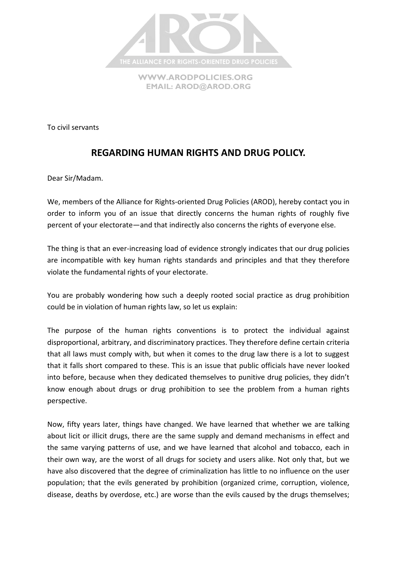

**[WWW.ARODPOLICIES.ORG](http://www.arodpolicies.org/) EMAIL: [AROD@AROD.ORG](mailto:AROD@AROD.ORG)**

To civil servants

## **REGARDING HUMAN RIGHTS AND DRUG POLICY.**

Dear Sir/Madam.

We, members of the Alliance for Rights-oriented Drug Policies (AROD), hereby contact you in order to inform you of an issue that directly concerns the human rights of roughly five percent of your electorate—and that indirectly also concerns the rights of everyone else.

The thing is that an ever-increasing load of evidence strongly indicates that our drug policies are incompatible with key human rights standards and principles and that they therefore violate the fundamental rights of your electorate.

You are probably wondering how such a deeply rooted social practice as drug prohibition could be in violation of human rights law, so let us explain:

The purpose of the human rights conventions is to protect the individual against disproportional, arbitrary, and discriminatory practices. They therefore define certain criteria that all laws must comply with, but when it comes to the drug law there is a lot to suggest that it falls short compared to these. This is an issue that public officials have never looked into before, because when they dedicated themselves to punitive drug policies, they didn't know enough about drugs or drug prohibition to see the problem from a human rights perspective.

Now, fifty years later, things have changed. We have learned that whether we are talking about licit or illicit drugs, there are the same supply and demand mechanisms in effect and the same varying patterns of use, and we have learned that alcohol and tobacco, each in their own way, are the worst of all drugs for society and users alike. Not only that, but we have also discovered that the degree of criminalization has little to no influence on the user population; that the evils generated by prohibition (organized crime, corruption, violence, disease, deaths by overdose, etc.) are worse than the evils caused by the drugs themselves;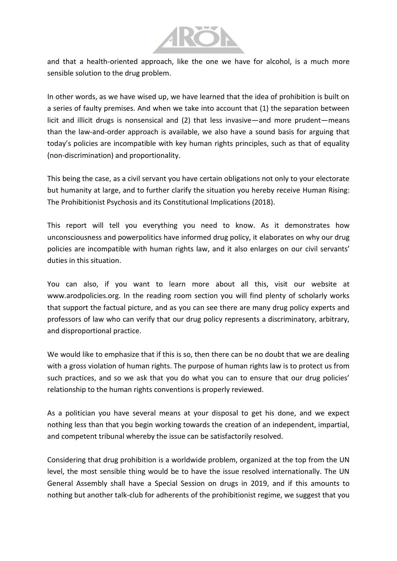

and that a health-oriented approach, like the one we have for alcohol, is a much more sensible solution to the drug problem.

In other words, as we have wised up, we have learned that the idea of prohibition is built on a series of faulty premises. And when we take into account that (1) the separation between licit and illicit drugs is nonsensical and (2) that less invasive—and more prudent—means than the law-and-order approach is available, we also have a sound basis for arguing that today's policies are incompatible with key human rights principles, such as that of equality (non-discrimination) and proportionality.

This being the case, as a civil servant you have certain obligations not only to your electorate but humanity at large, and to further clarify the situation you hereby receive Human Rising: The Prohibitionist Psychosis and its Constitutional Implications (2018).

This report will tell you everything you need to know. As it demonstrates how unconsciousness and powerpolitics have informed drug policy, it elaborates on why our drug policies are incompatible with human rights law, and it also enlarges on our civil servants' duties in this situation.

You can also, if you want to learn more about all this, visit our website at www.arodpolicies.org. In the reading room section you will find plenty of scholarly works that support the factual picture, and as you can see there are many drug policy experts and professors of law who can verify that our drug policy represents a discriminatory, arbitrary, and disproportional practice.

We would like to emphasize that if this is so, then there can be no doubt that we are dealing with a gross violation of human rights. The purpose of human rights law is to protect us from such practices, and so we ask that you do what you can to ensure that our drug policies' relationship to the human rights conventions is properly reviewed.

As a politician you have several means at your disposal to get his done, and we expect nothing less than that you begin working towards the creation of an independent, impartial, and competent tribunal whereby the issue can be satisfactorily resolved.

Considering that drug prohibition is a worldwide problem, organized at the top from the UN level, the most sensible thing would be to have the issue resolved internationally. The UN General Assembly shall have a Special Session on drugs in 2019, and if this amounts to nothing but another talk-club for adherents of the prohibitionist regime, we suggest that you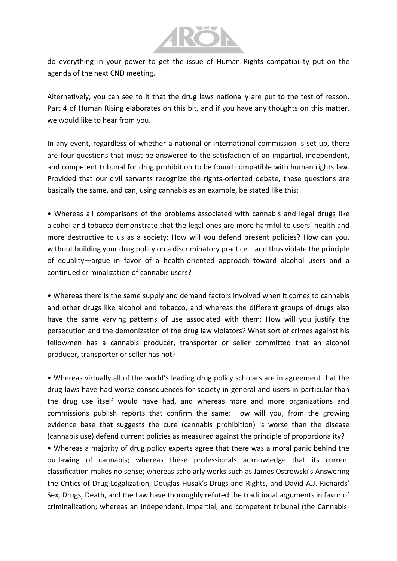

do everything in your power to get the issue of Human Rights compatibility put on the agenda of the next CND meeting.

Alternatively, you can see to it that the drug laws nationally are put to the test of reason. Part 4 of Human Rising elaborates on this bit, and if you have any thoughts on this matter, we would like to hear from you.

In any event, regardless of whether a national or international commission is set up, there are four questions that must be answered to the satisfaction of an impartial, independent, and competent tribunal for drug prohibition to be found compatible with human rights law. Provided that our civil servants recognize the rights-oriented debate, these questions are basically the same, and can, using cannabis as an example, be stated like this:

• Whereas all comparisons of the problems associated with cannabis and legal drugs like alcohol and tobacco demonstrate that the legal ones are more harmful to users' health and more destructive to us as a society: How will you defend present policies? How can you, without building your drug policy on a discriminatory practice—and thus violate the principle of equality—argue in favor of a health-oriented approach toward alcohol users and a continued criminalization of cannabis users?

• Whereas there is the same supply and demand factors involved when it comes to cannabis and other drugs like alcohol and tobacco, and whereas the different groups of drugs also have the same varying patterns of use associated with them: How will you justify the persecution and the demonization of the drug law violators? What sort of crimes against his fellowmen has a cannabis producer, transporter or seller committed that an alcohol producer, transporter or seller has not?

• Whereas virtually all of the world's leading drug policy scholars are in agreement that the drug laws have had worse consequences for society in general and users in particular than the drug use itself would have had, and whereas more and more organizations and commissions publish reports that confirm the same: How will you, from the growing evidence base that suggests the cure (cannabis prohibition) is worse than the disease (cannabis use) defend current policies as measured against the principle of proportionality?

• Whereas a majority of drug policy experts agree that there was a moral panic behind the outlawing of cannabis; whereas these professionals acknowledge that its current classification makes no sense; whereas scholarly works such as James Ostrowski's Answering the Critics of Drug Legalization, Douglas Husak's Drugs and Rights, and David A.J. Richards' Sex, Drugs, Death, and the Law have thoroughly refuted the traditional arguments in favor of criminalization; whereas an independent, impartial, and competent tribunal (the Cannabis-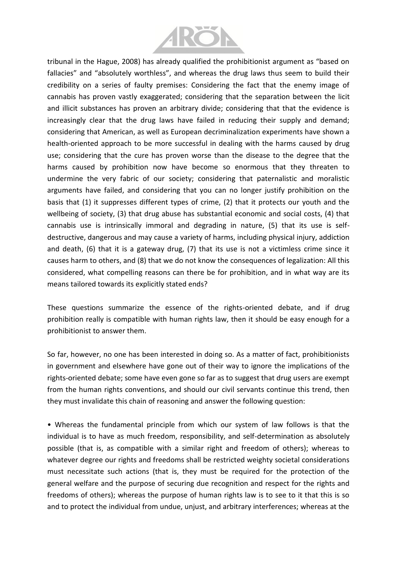

tribunal in the Hague, 2008) has already qualified the prohibitionist argument as "based on fallacies" and "absolutely worthless", and whereas the drug laws thus seem to build their credibility on a series of faulty premises: Considering the fact that the enemy image of cannabis has proven vastly exaggerated; considering that the separation between the licit and illicit substances has proven an arbitrary divide; considering that that the evidence is increasingly clear that the drug laws have failed in reducing their supply and demand; considering that American, as well as European decriminalization experiments have shown a health-oriented approach to be more successful in dealing with the harms caused by drug use; considering that the cure has proven worse than the disease to the degree that the harms caused by prohibition now have become so enormous that they threaten to undermine the very fabric of our society; considering that paternalistic and moralistic arguments have failed, and considering that you can no longer justify prohibition on the basis that (1) it suppresses different types of crime, (2) that it protects our youth and the wellbeing of society, (3) that drug abuse has substantial economic and social costs, (4) that cannabis use is intrinsically immoral and degrading in nature, (5) that its use is selfdestructive, dangerous and may cause a variety of harms, including physical injury, addiction and death, (6) that it is a gateway drug, (7) that its use is not a victimless crime since it causes harm to others, and (8) that we do not know the consequences of legalization: All this considered, what compelling reasons can there be for prohibition, and in what way are its means tailored towards its explicitly stated ends?

These questions summarize the essence of the rights-oriented debate, and if drug prohibition really is compatible with human rights law, then it should be easy enough for a prohibitionist to answer them.

So far, however, no one has been interested in doing so. As a matter of fact, prohibitionists in government and elsewhere have gone out of their way to ignore the implications of the rights-oriented debate; some have even gone so far as to suggest that drug users are exempt from the human rights conventions, and should our civil servants continue this trend, then they must invalidate this chain of reasoning and answer the following question:

• Whereas the fundamental principle from which our system of law follows is that the individual is to have as much freedom, responsibility, and self-determination as absolutely possible (that is, as compatible with a similar right and freedom of others); whereas to whatever degree our rights and freedoms shall be restricted weighty societal considerations must necessitate such actions (that is, they must be required for the protection of the general welfare and the purpose of securing due recognition and respect for the rights and freedoms of others); whereas the purpose of human rights law is to see to it that this is so and to protect the individual from undue, unjust, and arbitrary interferences; whereas at the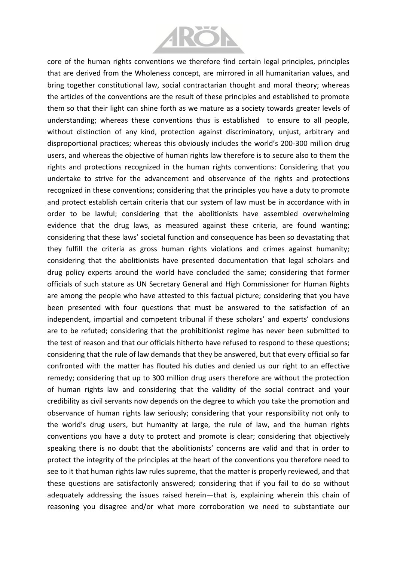

core of the human rights conventions we therefore find certain legal principles, principles that are derived from the Wholeness concept, are mirrored in all humanitarian values, and bring together constitutional law, social contractarian thought and moral theory; whereas the articles of the conventions are the result of these principles and established to promote them so that their light can shine forth as we mature as a society towards greater levels of understanding; whereas these conventions thus is established to ensure to all people, without distinction of any kind, protection against discriminatory, unjust, arbitrary and disproportional practices; whereas this obviously includes the world's 200-300 million drug users, and whereas the objective of human rights law therefore is to secure also to them the rights and protections recognized in the human rights conventions: Considering that you undertake to strive for the advancement and observance of the rights and protections recognized in these conventions; considering that the principles you have a duty to promote and protect establish certain criteria that our system of law must be in accordance with in order to be lawful; considering that the abolitionists have assembled overwhelming evidence that the drug laws, as measured against these criteria, are found wanting; considering that these laws' societal function and consequence has been so devastating that they fulfill the criteria as gross human rights violations and crimes against humanity; considering that the abolitionists have presented documentation that legal scholars and drug policy experts around the world have concluded the same; considering that former officials of such stature as UN Secretary General and High Commissioner for Human Rights are among the people who have attested to this factual picture; considering that you have been presented with four questions that must be answered to the satisfaction of an independent, impartial and competent tribunal if these scholars' and experts' conclusions are to be refuted; considering that the prohibitionist regime has never been submitted to the test of reason and that our officials hitherto have refused to respond to these questions; considering that the rule of law demands that they be answered, but that every official so far confronted with the matter has flouted his duties and denied us our right to an effective remedy; considering that up to 300 million drug users therefore are without the protection of human rights law and considering that the validity of the social contract and your credibility as civil servants now depends on the degree to which you take the promotion and observance of human rights law seriously; considering that your responsibility not only to the world's drug users, but humanity at large, the rule of law, and the human rights conventions you have a duty to protect and promote is clear; considering that objectively speaking there is no doubt that the abolitionists' concerns are valid and that in order to protect the integrity of the principles at the heart of the conventions you therefore need to see to it that human rights law rules supreme, that the matter is properly reviewed, and that these questions are satisfactorily answered; considering that if you fail to do so without adequately addressing the issues raised herein—that is, explaining wherein this chain of reasoning you disagree and/or what more corroboration we need to substantiate our